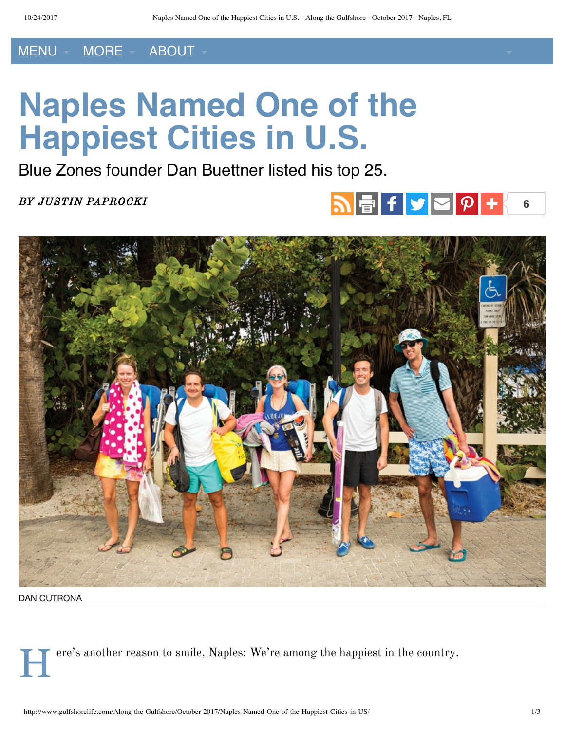MENU - MORE - ABOUT

## **Naples Named One of the Happiest Cities in U.S.**

Blue Zones founder Dan Buettner listed his top 25.

*BY JUSTIN PAPROCKI*

## **6**



DAN CUTRONA

H ere's another reason to smile, Naples: We're among the happiest in the country.